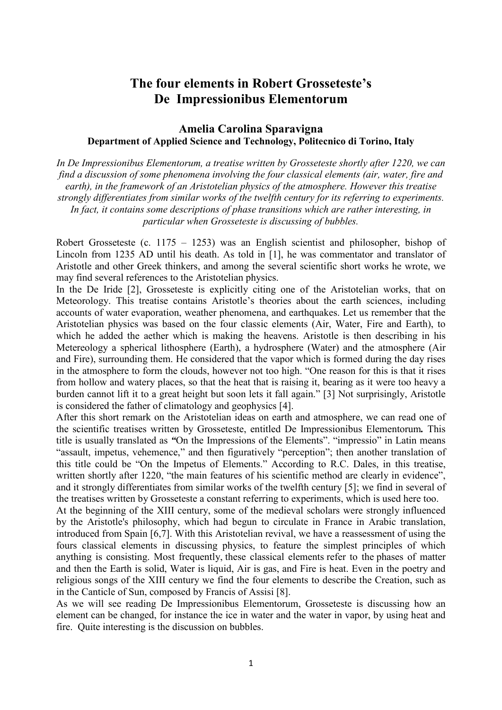## **The four elements in Robert Grosseteste's De Impressionibus Elementorum**

## **Amelia Carolina Sparavigna Department of Applied Science and Technology, Politecnico di Torino, Italy**

*In De Impressionibus Elementorum, a treatise written by Grosseteste shortly after 1220, we can find a discussion of some phenomena involving the four classical elements (air, water, fire and earth), in the framework of an Aristotelian physics of the atmosphere. However this treatise strongly differentiates from similar works of the twelfth century for its referring to experiments. In fact, it contains some descriptions of phase transitions which are rather interesting, in particular when Grosseteste is discussing of bubbles.* 

Robert Grosseteste (c. 1175 – 1253) was an English scientist and philosopher, bishop of Lincoln from 1235 AD until his death. As told in [1], he was commentator and translator of Aristotle and other Greek thinkers, and among the several scientific short works he wrote, we may find several references to the Aristotelian physics.

In the De Iride [2], Grosseteste is explicitly citing one of the Aristotelian works, that on Meteorology. This treatise contains Aristotle's theories about the earth sciences, including accounts of water evaporation, weather phenomena, and earthquakes. Let us remember that the Aristotelian physics was based on the four classic elements (Air, Water, Fire and Earth), to which he added the aether which is making the heavens. Aristotle is then describing in his Metereology a spherical lithosphere (Earth), a hydrosphere (Water) and the atmosphere (Air and Fire), surrounding them. He considered that the vapor which is formed during the day rises in the atmosphere to form the clouds, however not too high. "One reason for this is that it rises from hollow and watery places, so that the heat that is raising it, bearing as it were too heavy a burden cannot lift it to a great height but soon lets it fall again." [3] Not surprisingly, Aristotle is considered the father of climatology and geophysics [4].

After this short remark on the Aristotelian ideas on earth and atmosphere, we can read one of the scientific treatises written by Grosseteste, entitled De Impressionibus Elementorum*.* This title is usually translated as *"*On the Impressions of the Elements". "impressio" in Latin means "assault, impetus, vehemence," and then figuratively "perception"; then another translation of this title could be "On the Impetus of Elements." According to R.C. Dales, in this treatise, written shortly after 1220, "the main features of his scientific method are clearly in evidence". and it strongly differentiates from similar works of the twelfth century [5]; we find in several of the treatises written by Grosseteste a constant referring to experiments, which is used here too.

At the beginning of the XIII century, some of the medieval scholars were strongly influenced by the Aristotle's philosophy, which had begun to circulate in France in Arabic translation, introduced from Spain [6,7]. With this Aristotelian revival, we have a reassessment of using the fours classical elements in discussing physics, to feature the simplest principles of which anything is consisting. Most frequently, these classical elements refer to the phases of matter and then the Earth is solid, Water is liquid, Air is gas, and Fire is heat. Even in the poetry and religious songs of the XIII century we find the four elements to describe the Creation, such as in the Canticle of Sun, composed by Francis of Assisi [8].

As we will see reading De Impressionibus Elementorum, Grosseteste is discussing how an element can be changed, for instance the ice in water and the water in vapor, by using heat and fire. Quite interesting is the discussion on bubbles.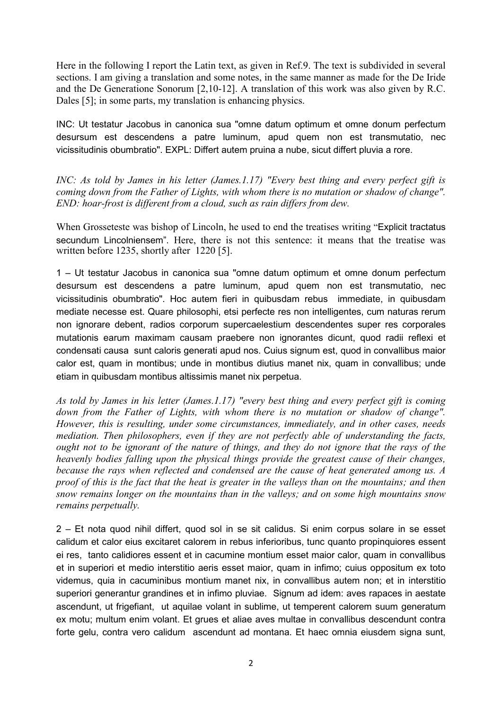Here in the following I report the Latin text, as given in Ref.9. The text is subdivided in several sections. I am giving a translation and some notes, in the same manner as made for the De Iride and the De Generatione Sonorum [2,10-12]. A translation of this work was also given by R.C. Dales [5]; in some parts, my translation is enhancing physics.

INC: Ut testatur Jacobus in canonica sua "omne datum optimum et omne donum perfectum desursum est descendens a patre luminum, apud quem non est transmutatio, nec vicissitudinis obumbratio". EXPL: Differt autem pruina a nube, sicut differt pluvia a rore.

*INC: As told by James in his letter (James.1.17) "Every best thing and every perfect gift is coming down from the Father of Lights, with whom there is no mutation or shadow of change". END: hoar-frost is different from a cloud, such as rain differs from dew.* 

When Grosseteste was bishop of Lincoln, he used to end the treatises writing "Explicit tractatus secundum Lincolniensem". Here, there is not this sentence: it means that the treatise was written before 1235, shortly after 1220 [5].

1 – Ut testatur Jacobus in canonica sua "omne datum optimum et omne donum perfectum desursum est descendens a patre luminum, apud quem non est transmutatio, nec vicissitudinis obumbratio". Hoc autem fieri in quibusdam rebus immediate, in quibusdam mediate necesse est. Quare philosophi, etsi perfecte res non intelligentes, cum naturas rerum non ignorare debent, radios corporum supercaelestium descendentes super res corporales mutationis earum maximam causam praebere non ignorantes dicunt, quod radii reflexi et condensati causa sunt caloris generati apud nos. Cuius signum est, quod in convallibus maior calor est, quam in montibus; unde in montibus diutius manet nix, quam in convallibus; unde etiam in quibusdam montibus altissimis manet nix perpetua.

*As told by James in his letter (James.1.17) "every best thing and every perfect gift is coming down from the Father of Lights, with whom there is no mutation or shadow of change". However, this is resulting, under some circumstances, immediately, and in other cases, needs mediation. Then philosophers, even if they are not perfectly able of understanding the facts, ought not to be ignorant of the nature of things, and they do not ignore that the rays of the heavenly bodies falling upon the physical things provide the greatest cause of their changes, because the rays when reflected and condensed are the cause of heat generated among us. A proof of this is the fact that the heat is greater in the valleys than on the mountains; and then snow remains longer on the mountains than in the valleys; and on some high mountains snow remains perpetually.* 

2 – Et nota quod nihil differt, quod sol in se sit calidus. Si enim corpus solare in se esset calidum et calor eius excitaret calorem in rebus inferioribus, tunc quanto propinquiores essent ei res, tanto calidiores essent et in cacumine montium esset maior calor, quam in convallibus et in superiori et medio interstitio aeris esset maior, quam in infimo; cuius oppositum ex toto videmus, quia in cacuminibus montium manet nix, in convallibus autem non; et in interstitio superiori generantur grandines et in infimo pluviae. Signum ad idem: aves rapaces in aestate ascendunt, ut frigefiant, ut aquilae volant in sublime, ut temperent calorem suum generatum ex motu; multum enim volant. Et grues et aliae aves multae in convallibus descendunt contra forte gelu, contra vero calidum ascendunt ad montana. Et haec omnia eiusdem signa sunt,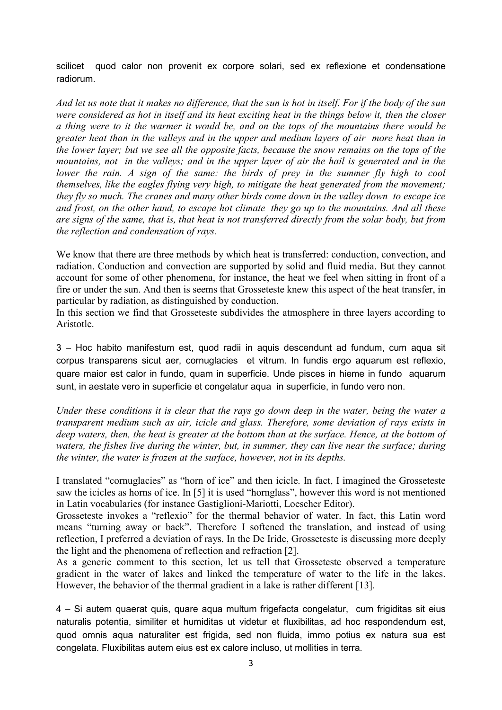scilicet quod calor non provenit ex corpore solari, sed ex reflexione et condensatione radiorum.

*And let us note that it makes no difference, that the sun is hot in itself. For if the body of the sun were considered as hot in itself and its heat exciting heat in the things below it, then the closer a thing were to it the warmer it would be, and on the tops of the mountains there would be greater heat than in the valleys and in the upper and medium layers of air more heat than in the lower layer; but we see all the opposite facts, because the snow remains on the tops of the mountains, not in the valleys; and in the upper layer of air the hail is generated and in the lower the rain. A sign of the same: the birds of prey in the summer fly high to cool themselves, like the eagles flying very high, to mitigate the heat generated from the movement; they fly so much. The cranes and many other birds come down in the valley down to escape ice and frost, on the other hand, to escape hot climate they go up to the mountains. And all these are signs of the same, that is, that heat is not transferred directly from the solar body, but from the reflection and condensation of rays.* 

We know that there are three methods by which heat is transferred: conduction, convection, and radiation. Conduction and convection are supported by solid and fluid media. But they cannot account for some of other phenomena, for instance, the heat we feel when sitting in front of a fire or under the sun. And then is seems that Grosseteste knew this aspect of the heat transfer, in particular by radiation, as distinguished by conduction.

In this section we find that Grosseteste subdivides the atmosphere in three layers according to Aristotle.

3 – Hoc habito manifestum est, quod radii in aquis descendunt ad fundum, cum aqua sit corpus transparens sicut aer, cornuglacies et vitrum. In fundis ergo aquarum est reflexio, quare maior est calor in fundo, quam in superficie. Unde pisces in hieme in fundo aquarum sunt, in aestate vero in superficie et congelatur aqua in superficie, in fundo vero non.

*Under these conditions it is clear that the rays go down deep in the water, being the water a transparent medium such as air, icicle and glass. Therefore, some deviation of rays exists in deep waters, then, the heat is greater at the bottom than at the surface. Hence, at the bottom of waters, the fishes live during the winter, but, in summer, they can live near the surface; during the winter, the water is frozen at the surface, however, not in its depths.* 

I translated "cornuglacies" as "horn of ice" and then icicle. In fact, I imagined the Grosseteste saw the icicles as horns of ice. In [5] it is used "hornglass", however this word is not mentioned in Latin vocabularies (for instance Gastiglioni-Mariotti, Loescher Editor).

Grosseteste invokes a "reflexio" for the thermal behavior of water. In fact, this Latin word means "turning away or back". Therefore I softened the translation, and instead of using reflection, I preferred a deviation of rays. In the De Iride, Grosseteste is discussing more deeply the light and the phenomena of reflection and refraction [2].

As a generic comment to this section, let us tell that Grosseteste observed a temperature gradient in the water of lakes and linked the temperature of water to the life in the lakes. However, the behavior of the thermal gradient in a lake is rather different [13].

4 – Si autem quaerat quis, quare aqua multum frigefacta congelatur, cum frigiditas sit eius naturalis potentia, similiter et humiditas ut videtur et fluxibilitas, ad hoc respondendum est, quod omnis aqua naturaliter est frigida, sed non fluida, immo potius ex natura sua est congelata. Fluxibilitas autem eius est ex calore incluso, ut mollities in terra.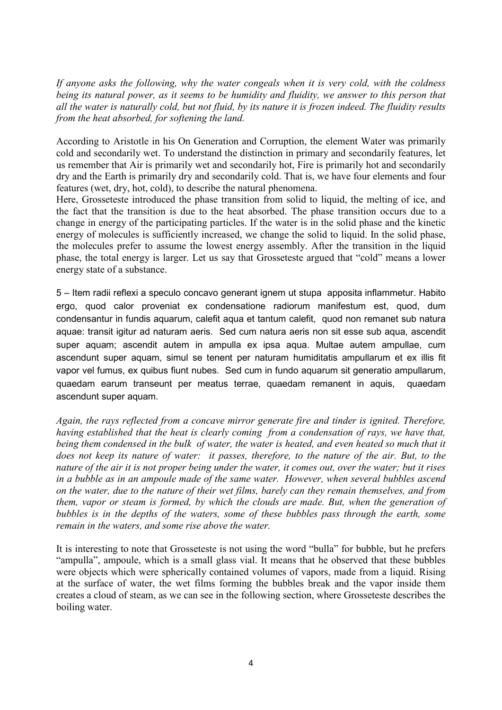*If anyone asks the following, why the water congeals when it is very cold, with the coldness being its natural power, as it seems to be humidity and fluidity, we answer to this person that all the water is naturally cold, but not fluid, by its nature it is frozen indeed. The fluidity results from the heat absorbed, for softening the land.* 

According to Aristotle in his On Generation and Corruption, the element Water was primarily cold and secondarily wet. To understand the distinction in primary and secondarily features, let us remember that Air is primarily wet and secondarily hot, Fire is primarily hot and secondarily dry and the Earth is primarily dry and secondarily cold. That is, we have four elements and four features (wet, dry, hot, cold), to describe the natural phenomena.

Here, Grosseteste introduced the phase transition from solid to liquid, the melting of ice, and the fact that the transition is due to the heat absorbed. The phase transition occurs due to a change in energy of the participating particles. If the water is in the solid phase and the kinetic energy of molecules is sufficiently increased, we change the solid to liquid. In the solid phase, the molecules prefer to assume the lowest energy assembly. After the transition in the liquid phase, the total energy is larger. Let us say that Grosseteste argued that "cold" means a lower energy state of a substance.

5 – Item radii reflexi a speculo concavo generant ignem ut stupa apposita inflammetur. Habito ergo, quod calor proveniat ex condensatione radiorum manifestum est, quod, dum condensantur in fundis aquarum, calefit aqua et tantum calefit, quod non remanet sub natura aquae: transit igitur ad naturam aeris. Sed cum natura aeris non sit esse sub aqua, ascendit super aquam; ascendit autem in ampulla ex ipsa aqua. Multae autem ampullae, cum ascendunt super aquam, simul se tenent per naturam humiditatis ampullarum et ex illis fit vapor vel fumus, ex quibus fiunt nubes. Sed cum in fundo aquarum sit generatio ampullarum, quaedam earum transeunt per meatus terrae, quaedam remanent in aquis, quaedam ascendunt super aquam.

*Again, the rays reflected from a concave mirror generate fire and tinder is ignited. Therefore, having established that the heat is clearly coming from a condensation of rays, we have that, being them condensed in the bulk of water, the water is heated, and even heated so much that it does not keep its nature of water: it passes, therefore, to the nature of the air. But, to the nature of the air it is not proper being under the water, it comes out, over the water; but it rises in a bubble as in an ampoule made of the same water. However, when several bubbles ascend on the water, due to the nature of their wet films, barely can they remain themselves, and from them, vapor or steam is formed, by which the clouds are made. But, when the generation of bubbles is in the depths of the waters, some of these bubbles pass through the earth, some remain in the waters, and some rise above the water.* 

It is interesting to note that Grosseteste is not using the word "bulla" for bubble, but he prefers "ampulla", ampoule, which is a small glass vial. It means that he observed that these bubbles were objects which were spherically contained volumes of vapors, made from a liquid. Rising at the surface of water, the wet films forming the bubbles break and the vapor inside them creates a cloud of steam, as we can see in the following section, where Grosseteste describes the boiling water.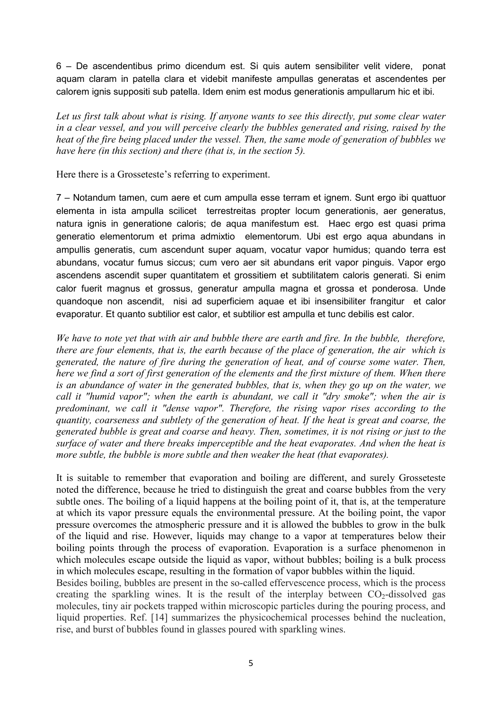6 – De ascendentibus primo dicendum est. Si quis autem sensibiliter velit videre, ponat aquam claram in patella clara et videbit manifeste ampullas generatas et ascendentes per calorem ignis suppositi sub patella. Idem enim est modus generationis ampullarum hic et ibi.

*Let us first talk about what is rising. If anyone wants to see this directly, put some clear water in a clear vessel, and you will perceive clearly the bubbles generated and rising, raised by the heat of the fire being placed under the vessel. Then, the same mode of generation of bubbles we have here (in this section) and there (that is, in the section 5).* 

Here there is a Grosseteste's referring to experiment.

7 – Notandum tamen, cum aere et cum ampulla esse terram et ignem. Sunt ergo ibi quattuor elementa in ista ampulla scilicet terrestreitas propter locum generationis, aer generatus, natura ignis in generatione caloris; de aqua manifestum est. Haec ergo est quasi prima generatio elementorum et prima admixtio elementorum. Ubi est ergo aqua abundans in ampullis generatis, cum ascendunt super aquam, vocatur vapor humidus; quando terra est abundans, vocatur fumus siccus; cum vero aer sit abundans erit vapor pinguis. Vapor ergo ascendens ascendit super quantitatem et grossitiem et subtilitatem caloris generati. Si enim calor fuerit magnus et grossus, generatur ampulla magna et grossa et ponderosa. Unde quandoque non ascendit, nisi ad superficiem aquae et ibi insensibiliter frangitur et calor evaporatur. Et quanto subtilior est calor, et subtilior est ampulla et tunc debilis est calor.

*We have to note yet that with air and bubble there are earth and fire. In the bubble, therefore, there are four elements, that is, the earth because of the place of generation, the air which is generated, the nature of fire during the generation of heat, and of course some water. Then, here we find a sort of first generation of the elements and the first mixture of them. When there is an abundance of water in the generated bubbles, that is, when they go up on the water, we call it "humid vapor"; when the earth is abundant, we call it "dry smoke"; when the air is predominant, we call it "dense vapor". Therefore, the rising vapor rises according to the quantity, coarseness and subtlety of the generation of heat. If the heat is great and coarse, the generated bubble is great and coarse and heavy. Then, sometimes, it is not rising or just to the surface of water and there breaks imperceptible and the heat evaporates. And when the heat is more subtle, the bubble is more subtle and then weaker the heat (that evaporates).* 

It is suitable to remember that evaporation and boiling are different, and surely Grosseteste noted the difference, because he tried to distinguish the great and coarse bubbles from the very subtle ones. The boiling of a liquid happens at the boiling point of it, that is, at the temperature at which its vapor pressure equals the environmental pressure. At the boiling point, the vapor pressure overcomes the atmospheric pressure and it is allowed the bubbles to grow in the bulk of the liquid and rise. However, liquids may change to a vapor at temperatures below their boiling points through the process of evaporation. Evaporation is a surface phenomenon in which molecules escape outside the liquid as vapor, without bubbles; boiling is a bulk process in which molecules escape, resulting in the formation of vapor bubbles within the liquid.

Besides boiling, bubbles are present in the so-called effervescence process, which is the process creating the sparkling wines. It is the result of the interplay between  $CO<sub>2</sub>$ -dissolved gas molecules, tiny air pockets trapped within microscopic particles during the pouring process, and liquid properties. Ref. [14] summarizes the physicochemical processes behind the nucleation, rise, and burst of bubbles found in glasses poured with sparkling wines.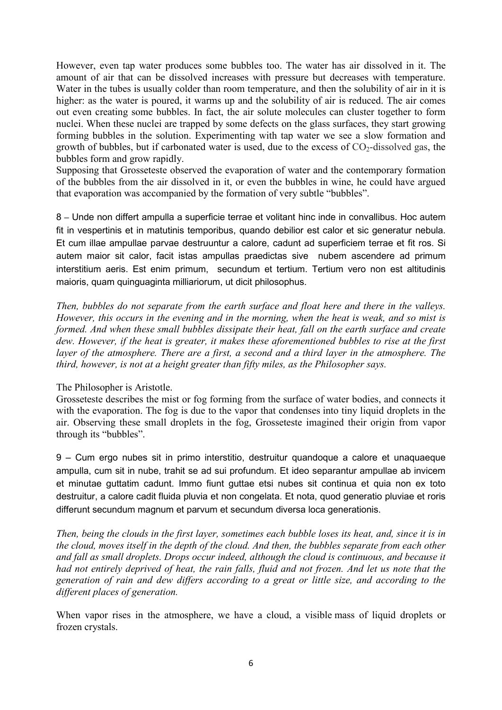However, even tap water produces some bubbles too. The water has air dissolved in it. The amount of air that can be dissolved increases with pressure but decreases with temperature. Water in the tubes is usually colder than room temperature, and then the solubility of air in it is higher: as the water is poured, it warms up and the solubility of air is reduced. The air comes out even creating some bubbles. In fact, the air solute molecules can cluster together to form nuclei. When these nuclei are trapped by some defects on the glass surfaces, they start growing forming bubbles in the solution. Experimenting with tap water we see a slow formation and growth of bubbles, but if carbonated water is used, due to the excess of  $CO<sub>2</sub>$ -dissolved gas, the bubbles form and grow rapidly.

Supposing that Grosseteste observed the evaporation of water and the contemporary formation of the bubbles from the air dissolved in it, or even the bubbles in wine, he could have argued that evaporation was accompanied by the formation of very subtle "bubbles".

8 **–**Unde non differt ampulla a superficie terrae et volitant hinc inde in convallibus. Hoc autem fit in vespertinis et in matutinis temporibus, quando debilior est calor et sic generatur nebula. Et cum illae ampullae parvae destruuntur a calore, cadunt ad superficiem terrae et fit ros. Si autem maior sit calor, facit istas ampullas praedictas sive nubem ascendere ad primum interstitium aeris. Est enim primum, secundum et tertium. Tertium vero non est altitudinis maioris, quam quinguaginta milliariorum, ut dicit philosophus.

*Then, bubbles do not separate from the earth surface and float here and there in the valleys. However, this occurs in the evening and in the morning, when the heat is weak, and so mist is formed. And when these small bubbles dissipate their heat, fall on the earth surface and create dew. However, if the heat is greater, it makes these aforementioned bubbles to rise at the first layer of the atmosphere. There are a first, a second and a third layer in the atmosphere. The third, however, is not at a height greater than fifty miles, as the Philosopher says.* 

## The Philosopher is Aristotle.

Grosseteste describes the mist or fog forming from the surface of water bodies, and connects it with the evaporation. The fog is due to the vapor that condenses into tiny liquid droplets in the air. Observing these small droplets in the fog, Grosseteste imagined their origin from vapor through its "bubbles".

9 – Cum ergo nubes sit in primo interstitio, destruitur quandoque a calore et unaquaeque ampulla, cum sit in nube, trahit se ad sui profundum. Et ideo separantur ampullae ab invicem et minutae guttatim cadunt. Immo fiunt guttae etsi nubes sit continua et quia non ex toto destruitur, a calore cadit fluida pluvia et non congelata. Et nota, quod generatio pluviae et roris differunt secundum magnum et parvum et secundum diversa loca generationis.

*Then, being the clouds in the first layer, sometimes each bubble loses its heat, and, since it is in the cloud, moves itself in the depth of the cloud. And then, the bubbles separate from each other and fall as small droplets. Drops occur indeed, although the cloud is continuous, and because it had not entirely deprived of heat, the rain falls, fluid and not frozen. And let us note that the generation of rain and dew differs according to a great or little size, and according to the different places of generation.* 

When vapor rises in the atmosphere, we have a cloud, a visible mass of liquid droplets or frozen crystals.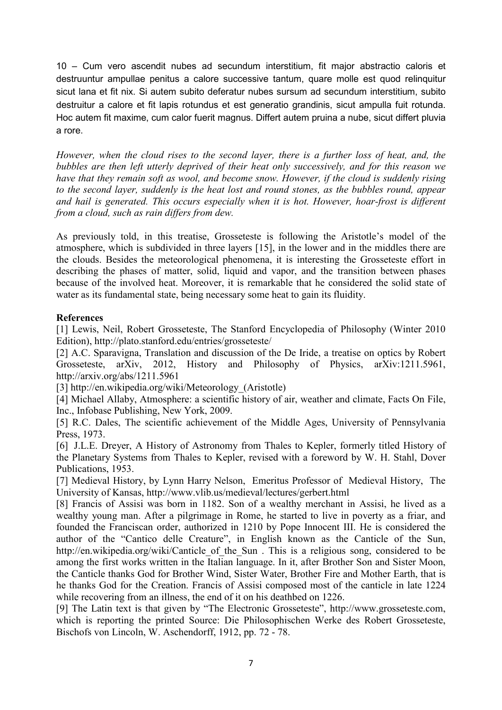10 – Cum vero ascendit nubes ad secundum interstitium, fit major abstractio caloris et destruuntur ampullae penitus a calore successive tantum, quare molle est quod relinquitur sicut lana et fit nix. Si autem subito deferatur nubes sursum ad secundum interstitium, subito destruitur a calore et fit lapis rotundus et est generatio grandinis, sicut ampulla fuit rotunda. Hoc autem fit maxime, cum calor fuerit magnus. Differt autem pruina a nube, sicut differt pluvia a rore.

*However, when the cloud rises to the second layer, there is a further loss of heat, and, the bubbles are then left utterly deprived of their heat only successively, and for this reason we have that they remain soft as wool, and become snow. However, if the cloud is suddenly rising to the second layer, suddenly is the heat lost and round stones, as the bubbles round, appear and hail is generated. This occurs especially when it is hot. However, hoar-frost is different from a cloud, such as rain differs from dew.* 

As previously told, in this treatise, Grosseteste is following the Aristotle's model of the atmosphere, which is subdivided in three layers [15], in the lower and in the middles there are the clouds. Besides the meteorological phenomena, it is interesting the Grosseteste effort in describing the phases of matter, solid, liquid and vapor, and the transition between phases because of the involved heat. Moreover, it is remarkable that he considered the solid state of water as its fundamental state, being necessary some heat to gain its fluidity.

## **References**

[1] Lewis, Neil, Robert Grosseteste, The Stanford Encyclopedia of Philosophy (Winter 2010 Edition), http://plato.stanford.edu/entries/grosseteste/

[2] A.C. Sparavigna, Translation and discussion of the De Iride, a treatise on optics by Robert Grosseteste, arXiv, 2012, History and Philosophy of Physics, arXiv:1211.5961, http://arxiv.org/abs/1211.5961

[3] http://en.wikipedia.org/wiki/Meteorology (Aristotle)

[4] Michael Allaby, Atmosphere: a scientific history of air, weather and climate, Facts On File, Inc., Infobase Publishing, New York, 2009.

[5] R.C. Dales, The scientific achievement of the Middle Ages, University of Pennsylvania Press, 1973.

[6] J.L.E. Dreyer, A History of Astronomy from Thales to Kepler, formerly titled History of the Planetary Systems from Thales to Kepler, revised with a foreword by W. H. Stahl, Dover Publications, 1953.

[7] Medieval History, by Lynn Harry Nelson, Emeritus Professor of Medieval History, The University of Kansas, http://www.vlib.us/medieval/lectures/gerbert.html

[8] Francis of Assisi was born in 1182. Son of a wealthy merchant in Assisi, he lived as a wealthy young man. After a pilgrimage in Rome, he started to live in poverty as a friar, and founded the Franciscan order, authorized in 1210 by Pope Innocent III. He is considered the author of the "Cantico delle Creature", in English known as the Canticle of the Sun, http://en.wikipedia.org/wiki/Canticle of the Sun . This is a religious song, considered to be among the first works written in the Italian language. In it, after Brother Son and Sister Moon, the Canticle thanks God for Brother Wind, Sister Water, Brother Fire and Mother Earth, that is he thanks God for the Creation. Francis of Assisi composed most of the canticle in late 1224 while recovering from an illness, the end of it on his deathbed on 1226.

[9] The Latin text is that given by "The Electronic Grosseteste", http://www.grosseteste.com, which is reporting the printed Source: Die Philosophischen Werke des Robert Grosseteste, Bischofs von Lincoln, W. Aschendorff, 1912, pp. 72 - 78.